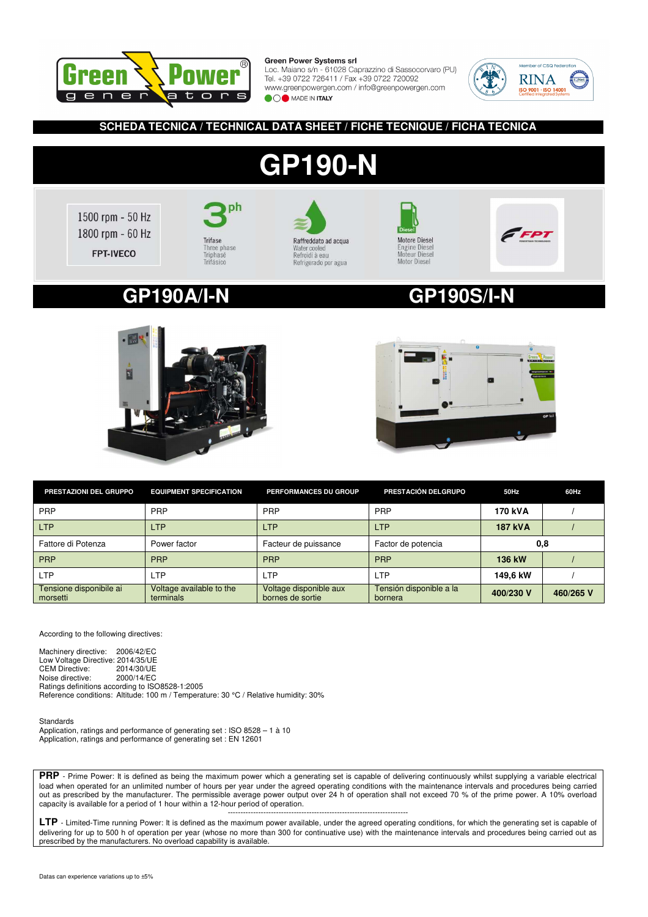

Loc. Maiano s/n - 61028 Caprazzino di Sassocorvaro (PU) Tel. +39 0722 726411 / Fax +39 0722 720092 www.greenpowergen.com / info@greenpowergen.com **OO** MADE IN ITALY



## **SCHEDA TECNICA / TECHNICAL DATA SHEET / FICHE TECNIQUE / FICHA TECNICA**

# **GP190-N**



ph Trifase Three phase<br>Triphasé Trifásico



**Motore Diesel** Engine Diesel<br>Engine Diesel<br>Moteur Diesel Motor Diesel



## **GP190A/I-N GP190S/I-N**





| PRESTAZIONI DEL GRUPPO              | <b>EQUIPMENT SPECIFICATION</b>        | PERFORMANCES DU GROUP                      | PRESTACIÓN DELGRUPO                | 50Hz           | 60Hz      |
|-------------------------------------|---------------------------------------|--------------------------------------------|------------------------------------|----------------|-----------|
| <b>PRP</b>                          | <b>PRP</b>                            | PRP                                        | PRP                                | 170 kVA        |           |
| <b>LTP</b>                          | <b>LTP</b>                            | <b>LTP</b>                                 | <b>LTP</b>                         | <b>187 kVA</b> |           |
| Fattore di Potenza                  | Power factor                          | Facteur de puissance                       | Factor de potencia                 | 0,8            |           |
| <b>PRP</b>                          | <b>PRP</b>                            | <b>PRP</b>                                 | <b>PRP</b>                         | 136 kW         |           |
| <b>LTP</b>                          | <b>LTP</b>                            | <b>LTP</b>                                 | <b>LTP</b>                         | 149.6 kW       |           |
| Tensione disponibile ai<br>morsetti | Voltage available to the<br>terminals | Voltage disponible aux<br>bornes de sortie | Tensión disponible a la<br>bornera | 400/230 V      | 460/265 V |

According to the following directives:

Machinery directive: 2006/42/EC Low Voltage Directive: 2014/35/UE<br>CEM Directive: 2014/30/UE CEM Directive: 2014/30/UE<br>Noise directive: 2000/14/EC Noise directive: Ratings definitions according to ISO8528-1:2005 Reference conditions: Altitude: 100 m / Temperature: 30 °C / Relative humidity: 30%

Standards Application, ratings and performance of generating set : ISO 8528 – 1 à 10 Application, ratings and performance of generating set : EN 12601

**PRP** - Prime Power: It is defined as being the maximum power which a generating set is capable of delivering continuously whilst supplying a variable electrical load when operated for an unlimited number of hours per year under the agreed operating conditions with the maintenance intervals and procedures being carried out as prescribed by the manufacturer. The permissible average power output over 24 h of operation shall not exceed 70 % of the prime power. A 10% overload capacity is available for a period of 1 hour within a 12-hour period of operation.

----------------------------------------------------------------------- **LTP** - Limited-Time running Power: It is defined as the maximum power available, under the agreed operating conditions, for which the generating set is capable of delivering for up to 500 h of operation per year (whose no more than 300 for continuative use) with the maintenance intervals and procedures being carried out as prescribed by the manufacturers. No overload capability is available.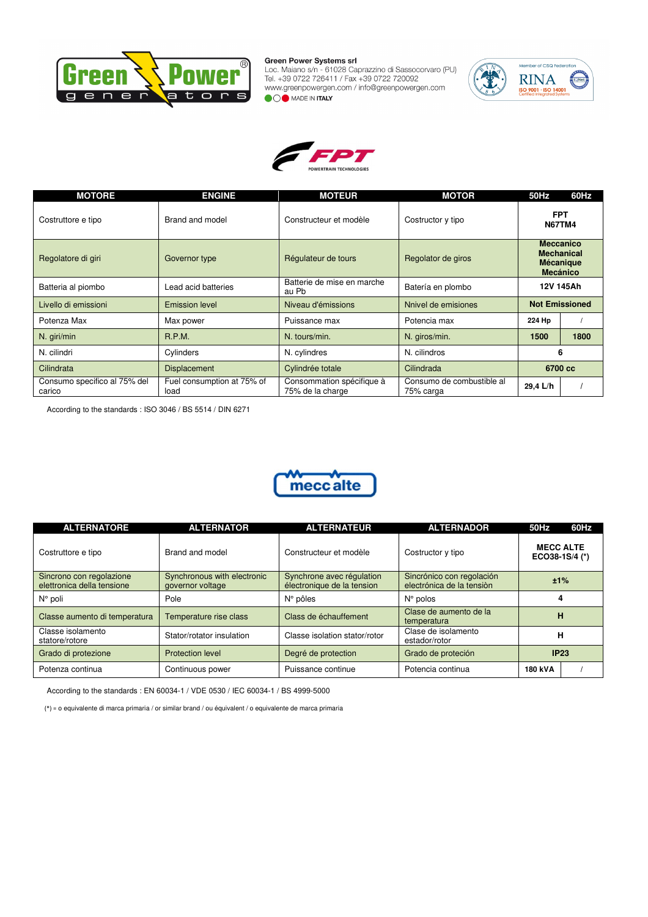

Green Power Systems sri<br>Loc. Maiano s/n - 61028 Caprazzino di Sassocorvaro (PU)<br>Tel. +39 0722 726411 / Fax +39 0722 720092<br>www.greenpowergen.com / info@greenpowergen.com **OOO** MADE IN ITALY





| <b>MOTORE</b>                          | <b>ENGINE</b>                      | <b>MOTEUR</b>                                 | <b>MOTOR</b>                           | 50Hz                                | 60Hz                                  |
|----------------------------------------|------------------------------------|-----------------------------------------------|----------------------------------------|-------------------------------------|---------------------------------------|
| Costruttore e tipo                     | Brand and model                    | Constructeur et modèle                        | Costructor y tipo                      | <b>FPT</b><br><b>N67TM4</b>         |                                       |
| Regolatore di giri                     | Governor type                      | Régulateur de tours                           | Regolator de giros                     | <b>Meccanico</b><br><b>Mecánico</b> | <b>Mechanical</b><br><b>Mécanique</b> |
| Batteria al piombo                     | Lead acid batteries                | Batterie de mise en marche<br>au Pb           | Batería en plombo                      |                                     | 12V 145Ah                             |
| Livello di emissioni                   | <b>Emission level</b>              | Niveau d'émissions                            | Nnivel de emisiones                    |                                     | <b>Not Emissioned</b>                 |
| Potenza Max                            | Max power                          | Puissance max                                 | Potencia max                           | 224 Hp                              |                                       |
| N. giri/min                            | R.P.M.                             | N. tours/min.                                 | N. giros/min.                          | 1500                                | 1800                                  |
| N. cilindri                            | Cylinders                          | N. cylindres                                  | N. cilindros                           | 6                                   |                                       |
| Cilindrata                             | <b>Displacement</b>                | Cylindrée totale                              | Cilindrada                             | 6700 cc                             |                                       |
| Consumo specifico al 75% del<br>carico | Fuel consumption at 75% of<br>load | Consommation spécifique à<br>75% de la charge | Consumo de combustible al<br>75% carga | 29,4 L/h                            |                                       |

According to the standards : ISO 3046 / BS 5514 / DIN 6271



| <b>ALTERNATORE</b>                                     | <b>ALTERNATOR</b>                               | <b>ALTERNATEUR</b>                                      | <b>ALTERNADOR</b>                                      | 50Hz                               | 60Hz |
|--------------------------------------------------------|-------------------------------------------------|---------------------------------------------------------|--------------------------------------------------------|------------------------------------|------|
| Costruttore e tipo                                     | Brand and model                                 | Constructeur et modèle                                  | Costructor y tipo                                      | <b>MECC ALTE</b><br>ECO38-1S/4 (*) |      |
| Sincrono con regolazione<br>elettronica della tensione | Synchronous with electronic<br>governor voltage | Synchrone avec régulation<br>électronique de la tension | Sincrónico con regolación<br>electrónica de la tensión | ±1%                                |      |
| $N^{\circ}$ poli                                       | Pole                                            | $N^{\circ}$ pôles                                       | $N^{\circ}$ polos                                      |                                    |      |
| Classe aumento di temperatura                          | Temperature rise class                          | Class de échauffement                                   | Clase de aumento de la<br>temperatura                  | н                                  |      |
| Classe isolamento<br>statore/rotore                    | Stator/rotator insulation                       | Classe isolation stator/rotor                           | Clase de isolamento<br>estador/rotor                   | н                                  |      |
| Grado di protezione                                    | Protection level                                | Degré de protection                                     | Grado de proteción                                     | IP23                               |      |
| Potenza continua                                       | Continuous power                                | Puissance continue                                      | Potencia continua                                      | 180 kVA                            |      |

According to the standards : EN 60034-1 / VDE 0530 / IEC 60034-1 / BS 4999-5000

(\*) = o equivalente di marca primaria / or similar brand / ou équivalent / o equivalente de marca primaria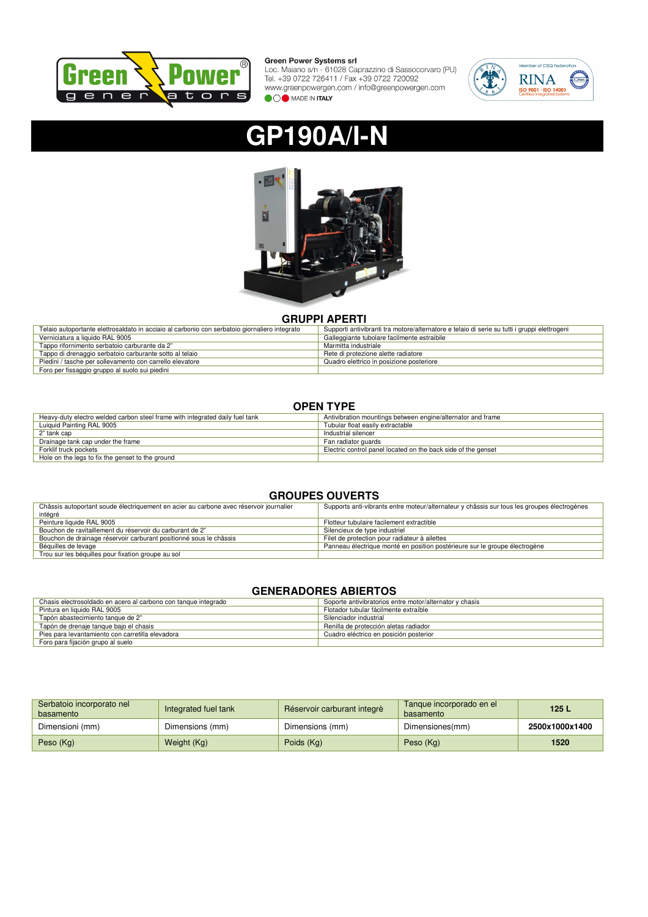

Green Power Systems Sri<br>Loc. Maiano s/n - 61028 Caprazzino di Sassocorvaro (PU)<br>Tel. +39 0722 726411 / Fax +39 0722 720092<br>www.greenpowergen.com / info@greenpowergen.com **OOO** MADE IN ITALY



# **GP190A/I-N**



## **GRUPPI APERTI**

| Telaio autoportante elettrosaldato in acciaio al carbonio con serbatoio giornaliero integrato | Supporti antivibranti tra motore/alternatore e telaio di serie su tutti i gruppi elettrogeni |
|-----------------------------------------------------------------------------------------------|----------------------------------------------------------------------------------------------|
| Verniciatura a liquido RAL 9005                                                               | Galleggiante tubolare facilmente estraibile                                                  |
| Tappo rifornimento serbatoio carburante da 2"                                                 | Marmitta industriale                                                                         |
| Tappo di drenaggio serbatoio carburante sotto al telaio                                       | Rete di protezione alette radiatore                                                          |
| Piedini / tasche per sollevamento con carrello elevatore                                      | Quadro elettrico in posizione posteriore                                                     |
| Foro per fissaggio gruppo al suolo sui piedini                                                |                                                                                              |

## **OPEN TYPE**

| Heavy-duty electro welded carbon steel frame with integrated daily fuel tank | Antivibration mountings between engine/alternator and frame   |
|------------------------------------------------------------------------------|---------------------------------------------------------------|
| Luiquid Painting RAL 9005                                                    | Tubular float easily extractable                              |
| 2" tank cap                                                                  | Industrial silencer                                           |
| Drainage tank cap under the frame                                            | Fan radiator guards                                           |
| Forklif truck pockets                                                        | Electric control panel located on the back side of the genset |
| Hole on the legs to fix the genset to the ground                             |                                                               |

## **GROUPES OUVERTS**

| Châssis autoportant soude électriquement en acier au carbone avec réservoir journalier | Supports anti-vibrants entre moteur/alternateur y châssis sur tous les groupes électrogènes |
|----------------------------------------------------------------------------------------|---------------------------------------------------------------------------------------------|
| intégré                                                                                |                                                                                             |
| Peinture liquide RAL 9005                                                              | Flotteur tubulaire facilement extractible                                                   |
| Bouchon de ravitaillement du réservoir du carburant de 2"                              | Silencieux de type industriel                                                               |
| Bouchon de drainage réservoir carburant positionné sous le châssis                     | Filet de protection pour radiateur à ailettes                                               |
| Béquilles de levage                                                                    | Panneau électrique monté en position postérieure sur le groupe électrogène                  |
| Trou sur les béquilles pour fixation groupe au sol                                     |                                                                                             |

## **GENERADORES ABIERTOS**

| Chasis electrosoldado en acero al carbono con tanque integrado | Soporte antivibratorios entre motor/alternator y chasis |
|----------------------------------------------------------------|---------------------------------------------------------|
| Pintura en liquido RAL 9005                                    | Flotador tubular fácilmente extraíble                   |
| Tapón abastecimiento tanque de 2"                              | Silenciador industrial                                  |
| Tapón de drenaje tanque bajo el chasis                         | Renilla de protección aletas radiador                   |
| Pies para levantamiento con carretilla elevadora               | Cuadro eléctrico en posición posterior                  |
| Foro para fijación grupo al suelo                              |                                                         |

| Serbatoio incorporato nel<br>basamento | Integrated fuel tank | Réservoir carburant integrè | Tanque incorporado en el<br>basamento | 125L           |
|----------------------------------------|----------------------|-----------------------------|---------------------------------------|----------------|
| Dimensioni (mm)                        | Dimensions (mm)      | Dimensions (mm)             | Dimensiones(mm)                       | 2500x1000x1400 |
| Peso (Kg)                              | Weight (Kg)          | Poids (Kg)                  | Peso (Kg)                             | 1520           |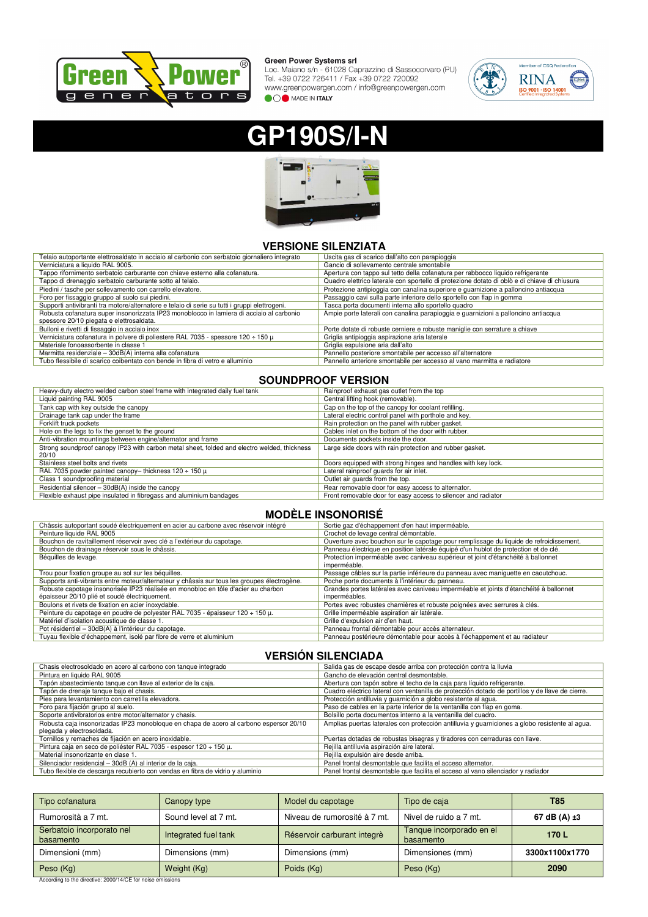

Green Power Systems sri<br>Loc. Maiano s/n - 61028 Caprazzino di Sassocorvaro (PU)<br>Tel. +39 0722 726411 / Fax +39 0722 720092<br>www.greenpowergen.com / info@greenpowergen.com **OOO** MADE IN ITALY



# **GP190S/I-N**



## **VERSIONE SILENZIATA**

| Telaio autoportante elettrosaldato in acciaio al carbonio con serbatoio giornaliero integrato | Uscita gas di scarico dall'alto con parapioggia                                              |
|-----------------------------------------------------------------------------------------------|----------------------------------------------------------------------------------------------|
| Verniciatura a liquido RAL 9005.                                                              | Gancio di sollevamento centrale smontabile                                                   |
| Tappo rifornimento serbatoio carburante con chiave esterno alla cofanatura.                   | Apertura con tappo sul tetto della cofanatura per rabbocco liquido refrigerante              |
| Tappo di drenaggio serbatoio carburante sotto al telaio.                                      | Quadro elettrico laterale con sportello di protezione dotato di oblò e di chiave di chiusura |
| Piedini / tasche per sollevamento con carrello elevatore.                                     | Protezione antipioggia con canalina superiore e guarnizione a palloncino antiacqua           |
| Foro per fissaggio gruppo al suolo sui piedini.                                               | Passaggio cavi sulla parte inferiore dello sportello con flap in gomma                       |
| Supporti antivibranti tra motore/alternatore e telaio di serie su tutti i gruppi elettrogeni. | Tasca porta documenti interna allo sportello quadro                                          |
| Robusta cofanatura super insonorizzata IP23 monoblocco in lamiera di acciaio al carbonio      | Ampie porte laterali con canalina parapioggia e guarnizioni a palloncino antiacqua           |
| spessore 20/10 piegata e elettrosaldata.                                                      |                                                                                              |
| Bulloni e rivetti di fissaggio in acciaio inox                                                | Porte dotate di robuste cerniere e robuste maniglie con serrature a chiave                   |
| Verniciatura cofanatura in polvere di poliestere RAL 7035 - spessore 120 $\div$ 150 $\mu$     | Griglia antipioggia aspirazione aria laterale                                                |
| Materiale fonoassorbente in classe 1                                                          | Griglia espulsione aria dall'alto                                                            |
| Marmitta residenziale - 30dB(A) interna alla cofanatura                                       | Pannello posteriore smontabile per accesso all'alternatore                                   |
| Tubo flessibile di scarico coibentato con bende in fibra di vetro e alluminio                 | Pannello anteriore smontabile per accesso al vano marmitta e radiatore                       |

## **SOUNDPROOF VERSION**

| Heavy-duty electro welded carbon steel frame with integrated daily fuel tank                | Rainproof exhaust gas outlet from the top                     |
|---------------------------------------------------------------------------------------------|---------------------------------------------------------------|
| Liquid painting RAL 9005                                                                    | Central lifting hook (removable).                             |
| Tank cap with key outside the canopy                                                        | Cap on the top of the canopy for coolant refilling.           |
| Drainage tank cap under the frame                                                           | Lateral electric control panel with porthole and key.         |
| Forklift truck pockets                                                                      | Rain protection on the panel with rubber gasket.              |
| Hole on the legs to fix the genset to the ground                                            | Cables inlet on the bottom of the door with rubber.           |
| Anti-vibration mountings between engine/alternator and frame                                | Documents pockets inside the door.                            |
| Strong soundproof canopy IP23 with carbon metal sheet, folded and electro welded, thickness | Large side doors with rain protection and rubber gasket.      |
| 20/10                                                                                       |                                                               |
| Stainless steel bolts and rivets                                                            | Doors equipped with strong hinges and handles with key lock.  |
| RAL 7035 powder painted canopy-thickness 120 $\div$ 150 $\mu$                               | Lateral rainproof quards for air inlet.                       |
| Class 1 soundproofing material                                                              | Outlet air quards from the top.                               |
| Residential silencer - 30dB(A) inside the canopy                                            | Rear removable door for easy access to alternator.            |
| Flexible exhaust pipe insulated in fibregass and aluminium bandages                         | Front removable door for easy access to silencer and radiator |

## **MODÈLE INSONORISÉ**

| Châssis autoportant soudé électriquement en acier au carbone avec réservoir intégré         | Sortie gaz d'échappement d'en haut imperméable.                                        |
|---------------------------------------------------------------------------------------------|----------------------------------------------------------------------------------------|
| Peinture liquide RAL 9005                                                                   | Crochet de levage central démontable.                                                  |
| Bouchon de ravitaillement réservoir avec clé a l'extérieur du capotage.                     | Ouverture avec bouchon sur le capotage pour remplissage du liquide de refroidissement. |
| Bouchon de drainage réservoir sous le châssis.                                              | Panneau électrique en position latérale équipé d'un hublot de protection et de clé.    |
| Béquilles de levage.                                                                        | Protection imperméable avec caniveau supérieur et joint d'étanchéité à ballonnet       |
|                                                                                             | imperméable.                                                                           |
| Trou pour fixation groupe au sol sur les béquilles.                                         | Passage câbles sur la partie inférieure du panneau avec maniguette en caoutchouc.      |
| Supports anti-vibrants entre moteur/alternateur y châssis sur tous les groupes électrogène. | Poche porte documents à l'intérieur du panneau.                                        |
| Robuste capotage insonorisée IP23 réalisée en monobloc en tôle d'acier au charbon           | Grandes portes latérales avec caniveau imperméable et joints d'étanchéité à ballonnet  |
| épaisseur 20/10 plié et soudé électriquement.                                               | imperméables.                                                                          |
| Boulons et rivets de fixation en acier inoxydable.                                          | Portes avec robustes charnières et robuste poignées avec serrures à clés.              |
| Peinture du capotage en poudre de polyester RAL 7035 - épaisseur 120 ÷ 150 µ.               | Grille imperméable aspiration air latérale.                                            |
| Matériel d'isolation acoustique de classe 1.                                                | Grille d'expulsion air d'en haut.                                                      |
| Pot résidentiel - 30dB(A) à l'intérieur du capotage.                                        | Panneau frontal démontable pour accès alternateur.                                     |
| Tuyau flexible d'échappement, isolé par fibre de verre et aluminium                         | Panneau postérieure démontable pour accès à l'échappement et au radiateur              |
|                                                                                             |                                                                                        |

## **VERSIÓN SILENCIADA**

| Chasis electrosoldado en acero al carbono con tanque integrado                         | Salida gas de escape desde arriba con protección contra la lluvia                               |
|----------------------------------------------------------------------------------------|-------------------------------------------------------------------------------------------------|
| Pintura en liguido RAL 9005                                                            | Gancho de elevación central desmontable.                                                        |
| Tapón abastecimiento tanque con llave al exterior de la caja.                          | Abertura con tapón sobre el techo de la caja para líquido refrigerante.                         |
| Tapón de drenaje tanque bajo el chasis.                                                | Cuadro eléctrico lateral con ventanilla de protección dotado de portillos y de llave de cierre. |
| Pies para levantamiento con carretilla elevadora.                                      | Protección antilluvia y quarnición a globo resistente al aqua.                                  |
| Foro para fijación grupo al suelo.                                                     | Paso de cables en la parte inferior de la ventanilla con flap en goma.                          |
| Soporte antivibratorios entre motor/alternator y chasis.                               | Bolsillo porta documentos interno a la ventanilla del cuadro.                                   |
| Robusta caja insonorizadas IP23 monobloque en chapa de acero al carbono espersor 20/10 | Amplias puertas laterales con protección antilluvia y quarniciones a globo resistente al agua.  |
| plegada y electrosoldada.                                                              |                                                                                                 |
| Tornillos y remaches de fijación en acero inoxidable.                                  | Puertas dotadas de robustas bisagras y tiradores con cerraduras con llave.                      |
| Pintura caja en seco de poliéster RAL 7035 - espesor 120 ÷ 150 μ.                      | Rejilla antilluvia aspiración aire lateral.                                                     |
| Material insonorizante en clase 1                                                      | Rejilla expulsión aire desde arriba.                                                            |
| Silenciador residencial - 30dB (A) al interior de la caja.                             | Panel frontal desmontable que facilita el acceso alternator.                                    |
| Tubo flexible de descarga recubierto con vendas en fibra de vidrio y aluminio          | Panel frontal desmontable que facilita el acceso al vano silenciador y radiador                 |

| Tipo cofanatura                        | Canopy type          | Model du capotage            | Tipo de caja                          | <b>T85</b>        |
|----------------------------------------|----------------------|------------------------------|---------------------------------------|-------------------|
| Rumorosità a 7 mt.                     | Sound level at 7 mt. | Niveau de rumorosité à 7 mt. | Nivel de ruido a 7 mt.                | 67 dB (A) $\pm 3$ |
| Serbatoio incorporato nel<br>basamento | Integrated fuel tank | Réservoir carburant integrè  | Tanque incorporado en el<br>basamento | 170L              |
| Dimensioni (mm)                        | Dimensions (mm)      | Dimensions (mm)              | Dimensiones (mm)                      | 3300x1100x1770    |
| Peso (Kg)                              | Weight (Kg)          | Poids (Kg)                   | Peso (Kg)                             | 2090              |

According to the directive: 2000/14/CE for noise emissions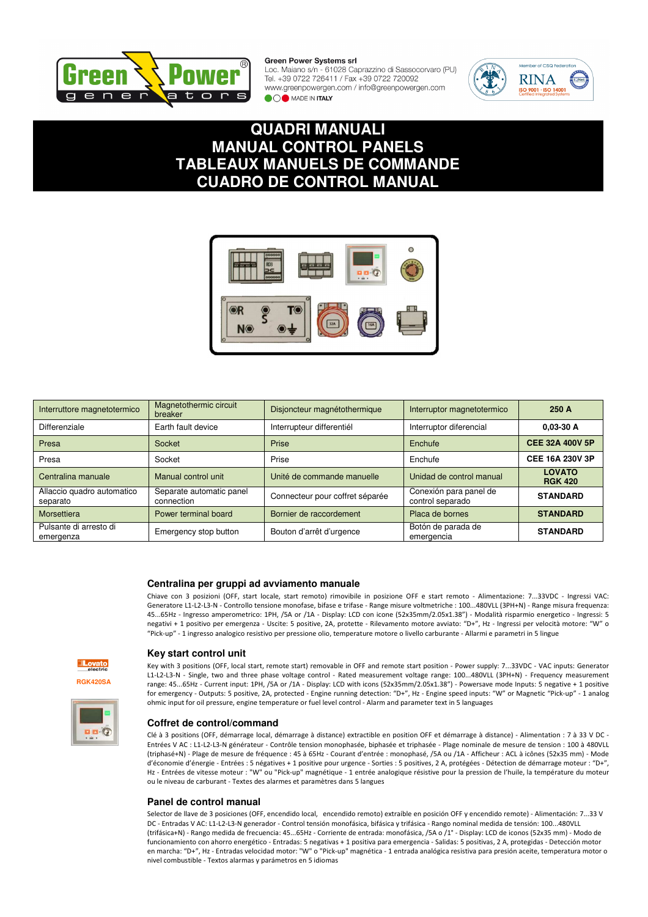

Loc. Maiano s/n - 61028 Caprazzino di Sassocorvaro (PU) Tel. +39 0722 726411 / Fax +39 0722 720092 www.greenpowergen.com / info@greenpowergen.com **OO** MADE IN **ITALY** 



## **QUADRI MANUALI MANUAL CONTROL PANELS TABLEAUX MANUELS DE COMMANDE CUADRO DE CONTROL MANUAL**



| Interruttore magnetotermico            | Magnetothermic circuit<br>breaker      | Disjoncteur magnétothermique    | Interruptor magnetotermico                 | 250 A                           |
|----------------------------------------|----------------------------------------|---------------------------------|--------------------------------------------|---------------------------------|
| Differenziale                          | Earth fault device                     | Interrupteur differentiél       | Interruptor diferencial                    | $0.03 - 30 A$                   |
| Presa                                  | Socket                                 | Prise                           | Enchufe                                    | <b>CEE 32A 400V 5P</b>          |
| Presa                                  | Socket                                 | Prise                           | Enchufe                                    | <b>CEE 16A 230V 3P</b>          |
| Centralina manuale                     | Manual control unit                    | Unité de commande manuelle      | Unidad de control manual                   | <b>LOVATO</b><br><b>RGK 420</b> |
| Allaccio quadro automatico<br>separato | Separate automatic panel<br>connection | Connecteur pour coffret séparée | Conexión para panel de<br>control separado | <b>STANDARD</b>                 |
| Morsettiera                            | Power terminal board                   | Bornier de raccordement         | Placa de bornes                            | <b>STANDARD</b>                 |
| Pulsante di arresto di<br>emergenza    | Emergency stop button                  | Bouton d'arrêt d'urgence        | Botón de parada de<br>emergencia           | <b>STANDARD</b>                 |

## **Centralina per gruppi ad avviamento manuale**

Chiave con 3 posizioni (OFF, start locale, start remoto) rimovibile in posizione OFF e start remoto - Alimentazione: 7...33VDC - Ingressi VAC: Generatore L1-L2-L3-N - Controllo tensione monofase, bifase e trifase - Range misure voltmetriche : 100...480VLL (3PH+N) - Range misura frequenza: 45...65Hz - Ingresso amperometrico: 1PH, /5A or /1A - Display: LCD con icone (52x35mm/2.05x1.38") - Modalità risparmio energetico - Ingressi: 5 negativi + 1 positivo per emergenza - Uscite: 5 positive, 2A, protette - Rilevamento motore avviato: "D+", Hz - Ingressi per velocità motore: "W" o "Pick-up" - 1 ingresso analogico resistivo per pressione olio, temperature motore o livello carburante - Allarmi e parametri in 5 lingue



#### **Key start control unit**

Key with 3 positions (OFF, local start, remote start) removable in OFF and remote start position - Power supply: 7...33VDC - VAC inputs: Generator L1-L2-L3-N - Single, two and three phase voltage control - Rated measurement voltage range: 100...480VLL (3PH+N) - Frequency measurement range: 45...65Hz - Current input: 1PH, /5A or /1A - Display: LCD with icons (52x35mm/2.05x1.38") - Powersave mode Inputs: 5 negative + 1 positive for emergency - Outputs: 5 positive, 2A, protected - Engine running detection: "D+", Hz - Engine speed inputs: "W" or Magnetic "Pick-up" - 1 analog ohmic input for oil pressure, engine temperature or fuel level control - Alarm and parameter text in 5 languages

#### **Coffret de control/command**

Clé à 3 positions (OFF, démarrage local, démarrage à distance) extractible en position OFF et démarrage à distance) - Alimentation : 7 à 33 V DC - Entrées V AC : L1-L2-L3-N générateur - Contrôle tension monophasée, biphasée et triphasée - Plage nominale de mesure de tension : 100 à 480VLL (triphasé+N) - Plage de mesure de fréquence : 45 à 65Hz - Courant d'entrée : monophasé, /5A ou /1A - Afficheur : ACL à icônes (52x35 mm) - Mode d'économie d'énergie - Entrées : 5 négatives + 1 positive pour urgence - Sorties : 5 positives, 2 A, protégées - Détection de démarrage moteur : "D+", Hz - Entrées de vitesse moteur : "W" ou "Pick-up" magnétique - 1 entrée analogique résistive pour la pression de l'huile, la température du moteur ou le niveau de carburant - Textes des alarmes et paramètres dans 5 langues

#### **Panel de control manual**

Selector de llave de 3 posiciones (OFF, encendido local, encendido remoto) extraíble en posición OFF y encendido remote) - Alimentación: 7...33 V DC - Entradas V AC: L1-L2-L3-N generador - Control tensión monofásica, bifásica y trifásica - Rango nominal medida de tensión: 100...480VLL (trifásica+N) - Rango medida de frecuencia: 45...65Hz - Corriente de entrada: monofásica, /5A o /1° - Display: LCD de iconos (52x35 mm) - Modo de funcionamiento con ahorro energético - Entradas: 5 negativas + 1 positiva para emergencia - Salidas: 5 positivas, 2 A, protegidas - Detección motor en marcha: "D+", Hz - Entradas velocidad motor: "W" o "Pick-up" magnética - 1 entrada analógica resistiva para presión aceite, temperatura motor o nivel combustible - Textos alarmas y parámetros en 5 idiomas